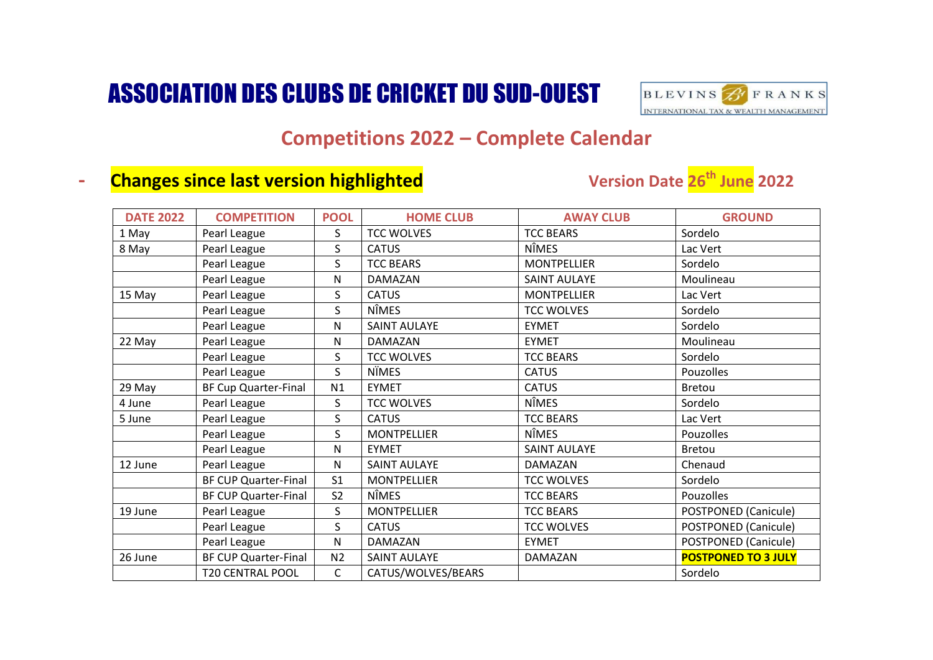## ASSOCIATION DES CLUBS DE CRICKET DU SUD-OUEST



## **Competitions 2022 – Complete Calendar**

## **- Changes since last version highlighted**

## **Version Date 26<sup>th</sup> June 2022**

| <b>DATE 2022</b> | <b>COMPETITION</b>          | <b>POOL</b>    | <b>HOME CLUB</b>    | <b>AWAY CLUB</b>    | <b>GROUND</b>               |
|------------------|-----------------------------|----------------|---------------------|---------------------|-----------------------------|
| 1 May            | Pearl League                | $\mathsf{S}$   | <b>TCC WOLVES</b>   | <b>TCC BEARS</b>    | Sordelo                     |
| 8 May            | Pearl League                | S              | <b>CATUS</b>        | <b>NÎMES</b>        | Lac Vert                    |
|                  | Pearl League                | S.             | <b>TCC BEARS</b>    | <b>MONTPELLIER</b>  | Sordelo                     |
|                  | Pearl League                | N              | <b>DAMAZAN</b>      | <b>SAINT AULAYE</b> | Moulineau                   |
| 15 May           | Pearl League                | S.             | <b>CATUS</b>        | <b>MONTPELLIER</b>  | Lac Vert                    |
|                  | Pearl League                | S.             | <b>NÎMES</b>        | <b>TCC WOLVES</b>   | Sordelo                     |
|                  | Pearl League                | N              | <b>SAINT AULAYE</b> | <b>EYMET</b>        | Sordelo                     |
| 22 May           | Pearl League                | N              | DAMAZAN             | <b>EYMET</b>        | Moulineau                   |
|                  | Pearl League                | S              | <b>TCC WOLVES</b>   | <b>TCC BEARS</b>    | Sordelo                     |
|                  | Pearl League                | S              | <b>N</b> ÜMES       | <b>CATUS</b>        | Pouzolles                   |
| 29 May           | <b>BF Cup Quarter-Final</b> | N1             | <b>EYMET</b>        | <b>CATUS</b>        | Bretou                      |
| 4 June           | Pearl League                | S.             | <b>TCC WOLVES</b>   | <b>NÎMES</b>        | Sordelo                     |
| 5 June           | Pearl League                | S.             | <b>CATUS</b>        | <b>TCC BEARS</b>    | Lac Vert                    |
|                  | Pearl League                | S.             | <b>MONTPELLIER</b>  | <b>NÎMES</b>        | Pouzolles                   |
|                  | Pearl League                | N              | <b>EYMET</b>        | <b>SAINT AULAYE</b> | <b>Bretou</b>               |
| 12 June          | Pearl League                | N              | <b>SAINT AULAYE</b> | DAMAZAN             | Chenaud                     |
|                  | BF CUP Quarter-Final        | S <sub>1</sub> | <b>MONTPELLIER</b>  | <b>TCC WOLVES</b>   | Sordelo                     |
|                  | <b>BF CUP Quarter-Final</b> | S <sub>2</sub> | <b>NÎMES</b>        | <b>TCC BEARS</b>    | Pouzolles                   |
| 19 June          | Pearl League                | S              | <b>MONTPELLIER</b>  | <b>TCC BEARS</b>    | <b>POSTPONED (Canicule)</b> |
|                  | Pearl League                | S              | <b>CATUS</b>        | <b>TCC WOLVES</b>   | POSTPONED (Canicule)        |
|                  | Pearl League                | N              | DAMAZAN             | <b>EYMET</b>        | <b>POSTPONED (Canicule)</b> |
| 26 June          | <b>BF CUP Quarter-Final</b> | N <sub>2</sub> | <b>SAINT AULAYE</b> | <b>DAMAZAN</b>      | <b>POSTPONED TO 3 JULY</b>  |
|                  | <b>T20 CENTRAL POOL</b>     | C              | CATUS/WOLVES/BEARS  |                     | Sordelo                     |